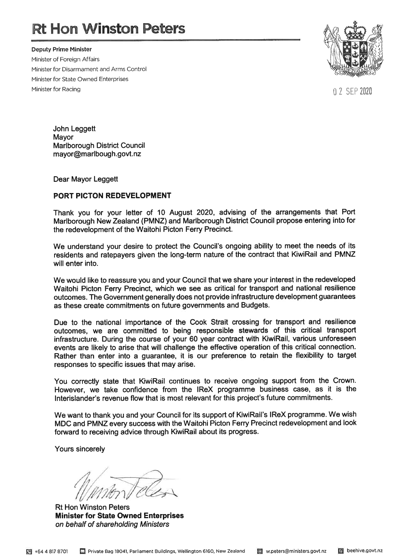# **Rt Hon Winston Peters**

**Deputy Prime Minister** Minister of Foreign Affairs Minister for Disarmament and Arms Control Minister for State Owned Enterprises Minister for Racing



0 2 SEP 2020

John Leggett Mayor **Marlborough District Council** mayor@marlbough.govt.nz

Dear Mayor Leggett

#### PORT PICTON REDEVELOPMENT

Thank you for your letter of 10 August 2020, advising of the arrangements that Port Marlborough New Zealand (PMNZ) and Marlborough District Council propose entering into for the redevelopment of the Waitohi Picton Ferry Precinct.

We understand your desire to protect the Council's ongoing ability to meet the needs of its residents and ratepayers given the long-term nature of the contract that KiwiRail and PMNZ will enter into.

We would like to reassure you and your Council that we share your interest in the redeveloped Waitohi Picton Ferry Precinct, which we see as critical for transport and national resilience outcomes. The Government generally does not provide infrastructure development guarantees as these create commitments on future governments and Budgets.

Due to the national importance of the Cook Strait crossing for transport and resilience outcomes, we are committed to being responsible stewards of this critical transport infrastructure. During the course of your 60 year contract with KiwiRail, various unforeseen events are likely to arise that will challenge the effective operation of this critical connection. Rather than enter into a guarantee, it is our preference to retain the flexibility to target responses to specific issues that may arise.

You correctly state that KiwiRail continues to receive ongoing support from the Crown. However, we take confidence from the IReX programme business case, as it is the Interislander's revenue flow that is most relevant for this project's future commitments.

We want to thank you and your Council for its support of KiwiRail's IReX programme. We wish MDC and PMNZ every success with the Waitohi Picton Ferry Precinct redevelopment and look forward to receiving advice through KiwiRail about its progress.

Yours sincerely

**Rt Hon Winston Peters Minister for State Owned Enterprises** on behalf of shareholding Ministers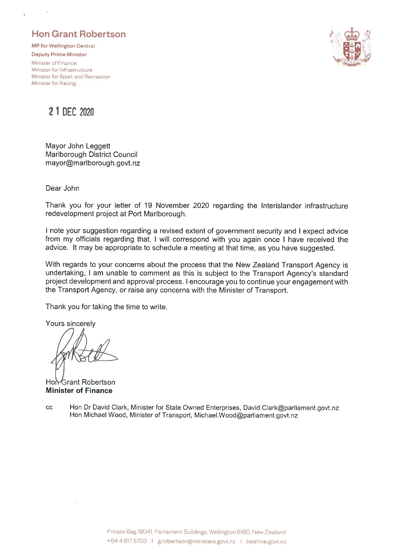### **Hon Grant Robertson**

**MP for Wellington Central** 

**Deputy Prime Minister** Minister of Finance Minister for Infrastructure Minister for Sport and Recreation Minister for Racing



2 1 DEC 2020

Mayor John Leggett Marlborough District Council mayor@marlborough.govt.nz

Dear John

Thank you for your letter of 19 November 2020 regarding the Interislander infrastructure redevelopment project at Port Marlborough.

I note your suggestion regarding a revised extent of government security and I expect advice from my officials regarding that. I will correspond with you again once I have received the advice. It may be appropriate to schedule a meeting at that time, as you have suggested.

With regards to your concerns about the process that the New Zealand Transport Agency is undertaking, I am unable to comment as this is subject to the Transport Agency's standard project development and approval process. I encourage you to continue your engagement with the Transport Agency, or raise any concerns with the Minister of Transport.

Thank you for taking the time to write.

Yours sincerely

Hon-Grant Robertson **Minister of Finance** 

Hon Dr David Clark, Minister for State Owned Enterprises, David.Clark@parliament.govt.nz  $cc$ Hon Michael Wood, Minister of Transport, Michael.Wood@parliament.govt.nz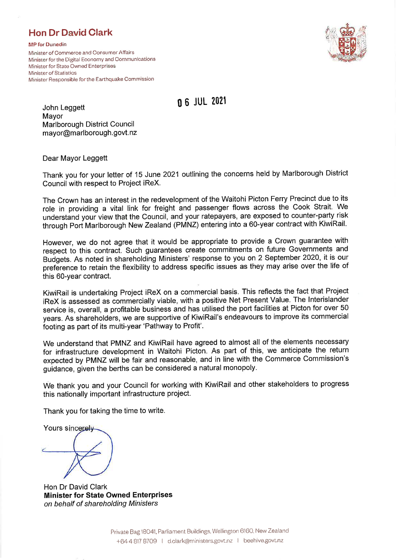### **Hon Dr David Clark**

**MP** for Dunedin Minister of Commerce and Consumer Affairs Minister for the Digital Economy and Communications Minister for State Owned Enterprises Minister of Statistics Minister Responsible for the Earthquake Commission



**06 JUL 2021** 

John Leggett Mayor Marlborough District Council mayor@marlborough.govt.nz

Dear Mayor Leggett

Thank you for your letter of 15 June 2021 outlining the concerns held by Marlborough District Council with respect to Project iReX.

The Crown has an interest in the redevelopment of the Waitohi Picton Ferry Precinct due to its role in providing a vital link for freight and passenger flows across the Cook Strait. We understand your view that the Council, and your ratepayers, are exposed to counter-party risk through Port Marlborough New Zealand (PMNZ) entering into a 60-year contract with KiwiRail.

However, we do not agree that it would be appropriate to provide a Crown guarantee with respect to this contract. Such guarantees create commitments on future Governments and Budgets. As noted in shareholding Ministers' response to you on 2 September 2020, it is our preference to retain the flexibility to address specific issues as they may arise over the life of this 60-year contract.

KiwiRail is undertaking Project iReX on a commercial basis. This reflects the fact that Project iReX is assessed as commercially viable, with a positive Net Present Value. The Interislander service is, overall, a profitable business and has utilised the port facilities at Picton for over 50 years. As shareholders, we are supportive of KiwiRail's endeavours to improve its commercial footing as part of its multi-year 'Pathway to Profit'.

We understand that PMNZ and KiwiRail have agreed to almost all of the elements necessary for infrastructure development in Waitohi Picton. As part of this, we anticipate the return expected by PMNZ will be fair and reasonable, and in line with the Commerce Commission's guidance, given the berths can be considered a natural monopoly.

We thank you and your Council for working with KiwiRail and other stakeholders to progress this nationally important infrastructure project.

Thank you for taking the time to write.

Yours sincerely

Hon Dr David Clark **Minister for State Owned Enterprises** on behalf of shareholding Ministers